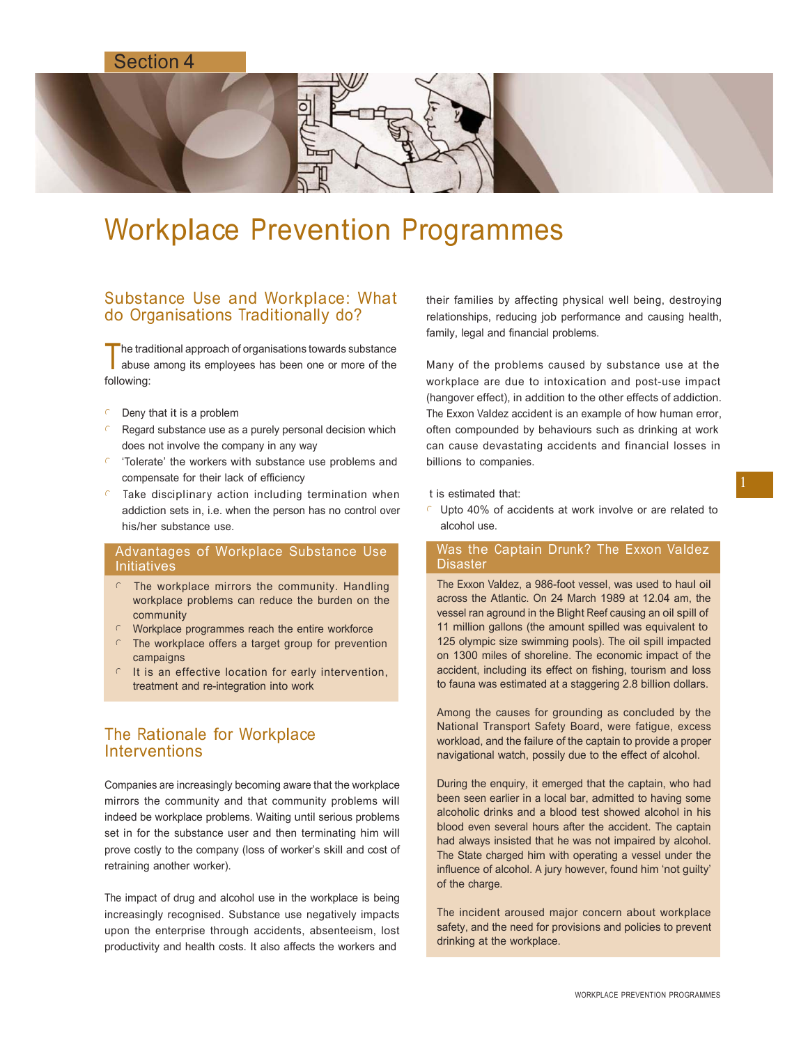# Section 4



# Workplace Prevention Programmes

## Substance Use and Workplace: What do Organisations Traditionally do?

The traditional approach of organisations towards substance<br>abuse among its employees has been one or more of the he traditional approach of organisations towards substance following:

- $\epsilon$  Deny that it is a problem
- Regard substance use as a purely personal decision which does not involve the company in any way
- 'Tolerate' the workers with substance use problems and compensate for their lack of efficiency
- Take disciplinary action including termination when addiction sets in, i.e. when the person has no control over his/her substance use.

## Advantages of Workplace Substance Use Initiatives

- $\cap$  The workplace mirrors the community. Handling workplace problems can reduce the burden on the community
- $\circ$  Workplace programmes reach the entire workforce
- $\Gamma$  The workplace offers a target group for prevention campaigns
- $\in$  It is an effective location for early intervention, treatment and re-integration into work

# The Rationale for Workplace **Interventions**

Companies are increasingly becoming aware that the workplace mirrors the community and that community problems will indeed be workplace problems. Waiting until serious problems set in for the substance user and then terminating him will prove costly to the company (loss of worker's skill and cost of retraining another worker).

The impact of drug and alcohol use in the workplace is being increasingly recognised. Substance use negatively impacts upon the enterprise through accidents, absenteeism, lost productivity and health costs. It also affects the workers and

their families by affecting physical well being, destroying relationships, reducing job performance and causing health, family, legal and financial problems.

Many of the problems caused by substance use at the workplace are due to intoxication and post-use impact (hangover effect), in addition to the other effects of addiction. The Exxon Valdez accident is an example of how human error, often compounded by behaviours such as drinking at work can cause devastating accidents and financial losses in billions to companies.

#### t is estimated that:

 $\epsilon$  Upto 40% of accidents at work involve or are related to alcohol use.

## Was the Captain Drunk? The Exxon Valdez **Disaster**

The Exxon Valdez, a 986-foot vessel, was used to haul oil across the Atlantic. On 24 March 1989 at 12.04 am, the vessel ran aground in the Blight Reef causing an oil spill of 11 million gallons (the amount spilled was equivalent to 125 olympic size swimming pools). The oil spill impacted on 1300 miles of shoreline. The economic impact of the accident, including its effect on fishing, tourism and loss to fauna was estimated at a staggering 2.8 billion dollars.

Among the causes for grounding as concluded by the National Transport Safety Board, were fatigue, excess workload, and the failure of the captain to provide a proper navigational watch, possily due to the effect of alcohol.

During the enquiry, it emerged that the captain, who had been seen earlier in a local bar, admitted to having some alcoholic drinks and a blood test showed alcohol in his blood even several hours after the accident. The captain had always insisted that he was not impaired by alcohol. The State charged him with operating a vessel under the influence of alcohol. A jury however, found him 'not guilty' of the charge.

The incident aroused major concern about workplace safety, and the need for provisions and policies to prevent drinking at the workplace.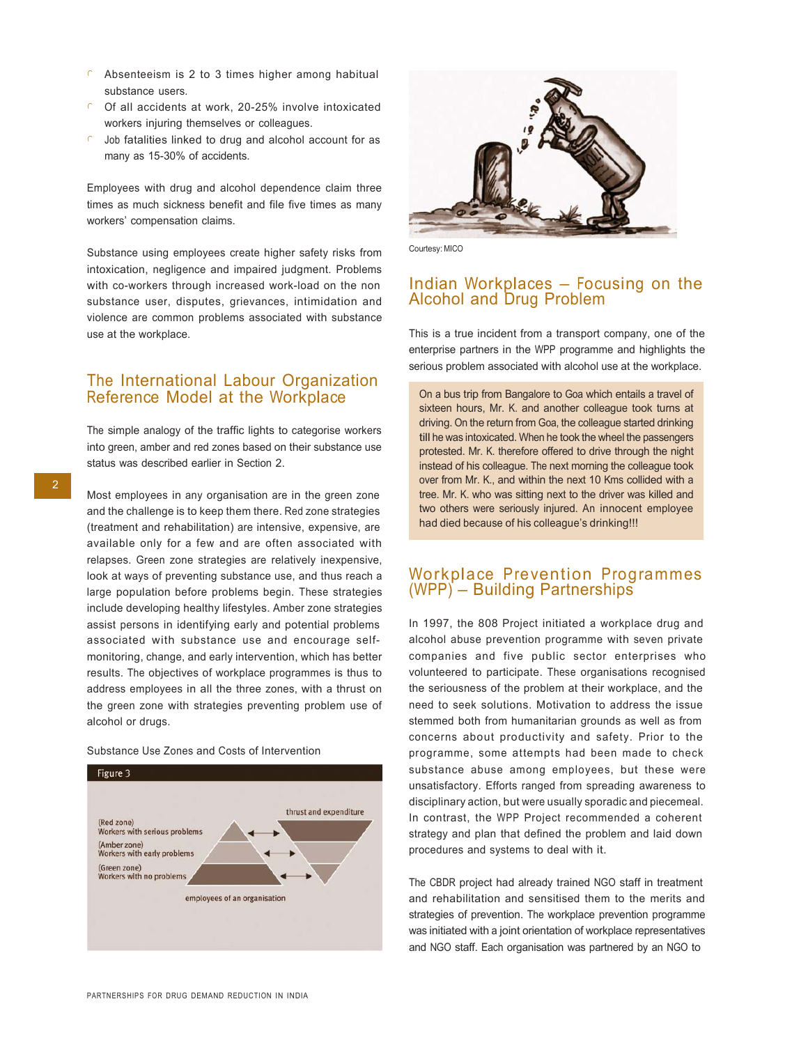- $\epsilon$  Absenteeism is 2 to 3 times higher among habitual substance users.
- $C$  Of all accidents at work, 20-25% involve intoxicated workers injuring themselves or colleagues.
- Job fatalities linked to drug and alcohol account for as many as 15-30% of accidents.

Employees with drug and alcohol dependence claim three times as much sickness benefit and file five times as many workers' compensation claims.

Substance using employees create higher safety risks from intoxication, negligence and impaired judgment. Problems with co-workers through increased work-load on the non substance user, disputes, grievances, intimidation and violence are common problems associated with substance use at the workplace.

## The International Labour Organization Reference Model at the Workplace

The simple analogy of the traffic lights to categorise workers into green, amber and red zones based on their substance use status was described earlier in Section 2.

Most employees in any organisation are in the green zone and the challenge is to keep them there. Red zone strategies (treatment and rehabilitation) are intensive, expensive, are available only for a few and are often associated with relapses. Green zone strategies are relatively inexpensive, look at ways of preventing substance use, and thus reach a large population before problems begin. These strategies include developing healthy lifestyles. Amber zone strategies assist persons in identifying early and potential problems associated with substance use and encourage selfmonitoring, change, and early intervention, which has better results. The objectives of workplace programmes is thus to address employees in all the three zones, with a thrust on the green zone with strategies preventing problem use of alcohol or drugs.

#### Substance Use Zones and Costs of Intervention





Courtesy: MICO

## Indian Workplaces – Focusing on the Alcohol and Drug Problem

This is a true incident from a transport company, one of the enterprise partners in the WPP programme and highlights the serious problem associated with alcohol use at the workplace.

On a bus trip from Bangalore to Goa which entails a travel of sixteen hours, Mr. K. and another colleague took turns at driving. On the return from Goa, the colleague started drinking till he was intoxicated. When he took the wheel the passengers protested. Mr. K. therefore offered to drive through the night instead of his colleague. The next morning the colleague took over from Mr. K., and within the next 10 Kms collided with a tree. Mr. K. who was sitting next to the driver was killed and two others were seriously injured. An innocent employee had died because of his colleague's drinking!!!

## Workplace Prevention Programmes (WPP) – Building Partnerships

In 1997, the 808 Project initiated a workplace drug and alcohol abuse prevention programme with seven private companies and five public sector enterprises who volunteered to participate. These organisations recognised the seriousness of the problem at their workplace, and the need to seek solutions. Motivation to address the issue stemmed both from humanitarian grounds as well as from concerns about productivity and safety. Prior to the programme, some attempts had been made to check substance abuse among employees, but these were unsatisfactory. Efforts ranged from spreading awareness to disciplinary action, but were usually sporadic and piecemeal. In contrast, the WPP Project recommended a coherent strategy and plan that defined the problem and laid down procedures and systems to deal with it.

The CBDR project had already trained NGO staff in treatment and rehabilitation and sensitised them to the merits and strategies of prevention. The workplace prevention programme was initiated with a joint orientation of workplace representatives and NGO staff. Each organisation was partnered by an NGO to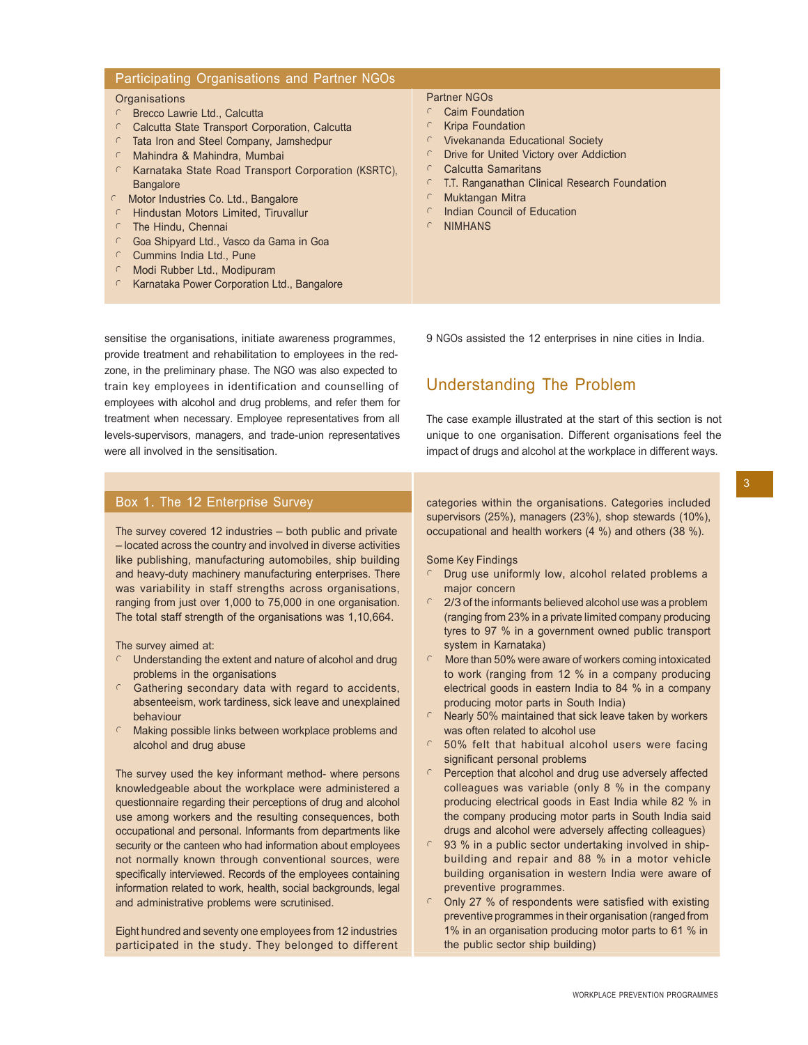| Participating Organisations and Partner NGOs                                                                                                                                                                                                                                                                                                                                                                                                                                                                                                 |                                                                                                                                                                                                                                                                                                     |
|----------------------------------------------------------------------------------------------------------------------------------------------------------------------------------------------------------------------------------------------------------------------------------------------------------------------------------------------------------------------------------------------------------------------------------------------------------------------------------------------------------------------------------------------|-----------------------------------------------------------------------------------------------------------------------------------------------------------------------------------------------------------------------------------------------------------------------------------------------------|
| Organisations<br>Brecco Lawrie Ltd., Calcutta<br>Calcutta State Transport Corporation, Calcutta<br>Tata Iron and Steel Company, Jamshedpur<br>Mahindra & Mahindra, Mumbai<br>Karnataka State Road Transport Corporation (KSRTC).<br><b>Bangalore</b><br>Motor Industries Co. Ltd., Bangalore<br>$\subset$<br>Hindustan Motors Limited, Tiruvallur<br>The Hindu, Chennai<br>$\mathbb{C}$<br>Goa Shipyard Ltd., Vasco da Gama in Goa<br>Cummins India Ltd., Pune<br>Modi Rubber Ltd., Modipuram<br>Karnataka Power Corporation Ltd., Bangalore | Partner NGOs<br>Caim Foundation<br><b>Kripa Foundation</b><br>Vivekananda Educational Society<br>Drive for United Victory over Addiction<br>Calcutta Samaritans<br>C<br>T.T. Ranganathan Clinical Research Foundation<br>Muktangan Mitra<br>C<br>Indian Council of Education<br><b>NIMHANS</b><br>€ |

sensitise the organisations, initiate awareness programmes, provide treatment and rehabilitation to employees in the redzone, in the preliminary phase. The NGO was also expected to train key employees in identification and counselling of employees with alcohol and drug problems, and refer them for treatment when necessary. Employee representatives from all levels-supervisors, managers, and trade-union representatives were all involved in the sensitisation.

## Box 1. The 12 Enterprise Survey

The survey covered 12 industries – both public and private – located across the country and involved in diverse activities like publishing, manufacturing automobiles, ship building and heavy-duty machinery manufacturing enterprises. There was variability in staff strengths across organisations, ranging from just over 1,000 to 75,000 in one organisation. The total staff strength of the organisations was 1,10,664.

The survey aimed at:

- $\circ$  Understanding the extent and nature of alcohol and drug problems in the organisations
- $C$  Gathering secondary data with regard to accidents, absenteeism, work tardiness, sick leave and unexplained behaviour
- $\mathcal{C}$  Making possible links between workplace problems and alcohol and drug abuse

The survey used the key informant method- where persons knowledgeable about the workplace were administered a questionnaire regarding their perceptions of drug and alcohol use among workers and the resulting consequences, both occupational and personal. Informants from departments like security or the canteen who had information about employees not normally known through conventional sources, were specifically interviewed. Records of the employees containing information related to work, health, social backgrounds, legal and administrative problems were scrutinised.

Eight hundred and seventy one employees from 12 industries participated in the study. They belonged to different 9 NGOs assisted the 12 enterprises in nine cities in India.

# Understanding The Problem

The case example illustrated at the start of this section is not unique to one organisation. Different organisations feel the impact of drugs and alcohol at the workplace in different ways.

categories within the organisations. Categories included supervisors (25%), managers (23%), shop stewards (10%), occupational and health workers (4 %) and others (38 %).

Some Key Findings

- $\cap$  Drug use uniformly low, alcohol related problems a major concern
- $\epsilon$  2/3 of the informants believed alcohol use was a problem (ranging from 23% in a private limited company producing tyres to 97 % in a government owned public transport system in Karnataka)
- <sup>l</sup> More than 50% were aware of workers coming intoxicated to work (ranging from 12 % in a company producing electrical goods in eastern India to 84 % in a company producing motor parts in South India)
- Nearly 50% maintained that sick leave taken by workers was often related to alcohol use
- $C$  50% felt that habitual alcohol users were facing significant personal problems
- Perception that alcohol and drug use adversely affected colleagues was variable (only 8 % in the company producing electrical goods in East India while 82 % in the company producing motor parts in South India said drugs and alcohol were adversely affecting colleagues)
- $\degree$  93 % in a public sector undertaking involved in shipbuilding and repair and 88 % in a motor vehicle building organisation in western India were aware of preventive programmes.
- <sup>l</sup> Only 27 % of respondents were satisfied with existing preventive programmes in their organisation (ranged from 1% in an organisation producing motor parts to 61 % in the public sector ship building)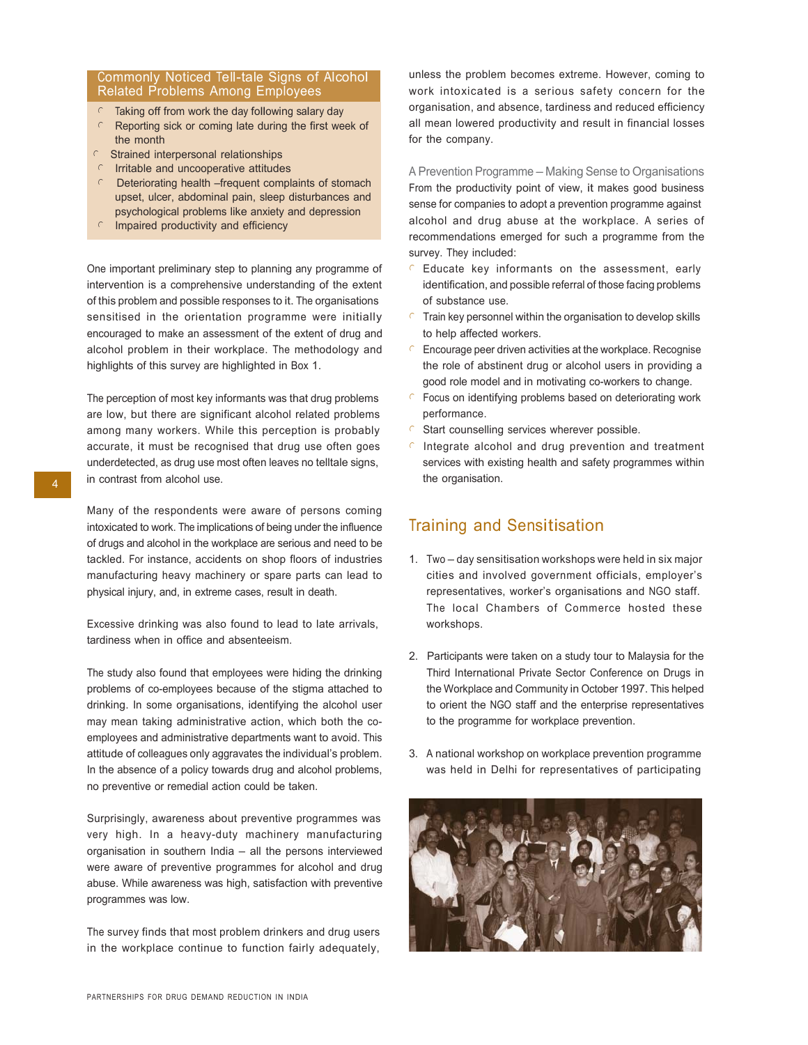#### Commonly Noticed Tell-tale Signs of Alcohol Related Problems Among Employees

- Taking off from work the day following salary day
- Reporting sick or coming late during the first week of the month
- $C$  Strained interpersonal relationships
- $\epsilon$  Irritable and uncooperative attitudes
- $\epsilon$  Deteriorating health –frequent complaints of stomach upset, ulcer, abdominal pain, sleep disturbances and psychological problems like anxiety and depression
- $\cap$  Impaired productivity and efficiency

One important preliminary step to planning any programme of intervention is a comprehensive understanding of the extent of this problem and possible responses to it. The organisations sensitised in the orientation programme were initially encouraged to make an assessment of the extent of drug and alcohol problem in their workplace. The methodology and highlights of this survey are highlighted in Box 1.

The perception of most key informants was that drug problems are low, but there are significant alcohol related problems among many workers. While this perception is probably accurate, it must be recognised that drug use often goes underdetected, as drug use most often leaves no telltale signs,  $\overline{A}$  in contrast from alcohol use.

> Many of the respondents were aware of persons coming intoxicated to work. The implications of being under the influence of drugs and alcohol in the workplace are serious and need to be tackled. For instance, accidents on shop floors of industries manufacturing heavy machinery or spare parts can lead to physical injury, and, in extreme cases, result in death.

Excessive drinking was also found to lead to late arrivals, tardiness when in office and absenteeism.

The study also found that employees were hiding the drinking problems of co-employees because of the stigma attached to drinking. In some organisations, identifying the alcohol user may mean taking administrative action, which both the coemployees and administrative departments want to avoid. This attitude of colleagues only aggravates the individual's problem. In the absence of a policy towards drug and alcohol problems, no preventive or remedial action could be taken.

Surprisingly, awareness about preventive programmes was very high. In a heavy-duty machinery manufacturing organisation in southern India – all the persons interviewed were aware of preventive programmes for alcohol and drug abuse. While awareness was high, satisfaction with preventive programmes was low.

The survey finds that most problem drinkers and drug users in the workplace continue to function fairly adequately, unless the problem becomes extreme. However, coming to work intoxicated is a serious safety concern for the organisation, and absence, tardiness and reduced efficiency all mean lowered productivity and result in financial losses for the company.

A Prevention Programme – Making Sense to Organisations From the productivity point of view, it makes good business sense for companies to adopt a prevention programme against alcohol and drug abuse at the workplace. A series of recommendations emerged for such a programme from the survey. They included:

- $C$  Educate key informants on the assessment, early identification, and possible referral of those facing problems of substance use.
- $\epsilon$  Train key personnel within the organisation to develop skills to help affected workers.
- $\epsilon$  Encourage peer driven activities at the workplace. Recognise the role of abstinent drug or alcohol users in providing a good role model and in motivating co-workers to change.
- $\epsilon$  Focus on identifying problems based on deteriorating work performance.
- $\epsilon$  Start counselling services wherever possible.
- Integrate alcohol and drug prevention and treatment services with existing health and safety programmes within the organisation.

# Training and Sensitisation

- 1. Two day sensitisation workshops were held in six major cities and involved government officials, employer's representatives, worker's organisations and NGO staff. The local Chambers of Commerce hosted these workshops.
- 2. Participants were taken on a study tour to Malaysia for the Third International Private Sector Conference on Drugs in the Workplace and Community in October 1997. This helped to orient the NGO staff and the enterprise representatives to the programme for workplace prevention.
- 3. A national workshop on workplace prevention programme was held in Delhi for representatives of participating

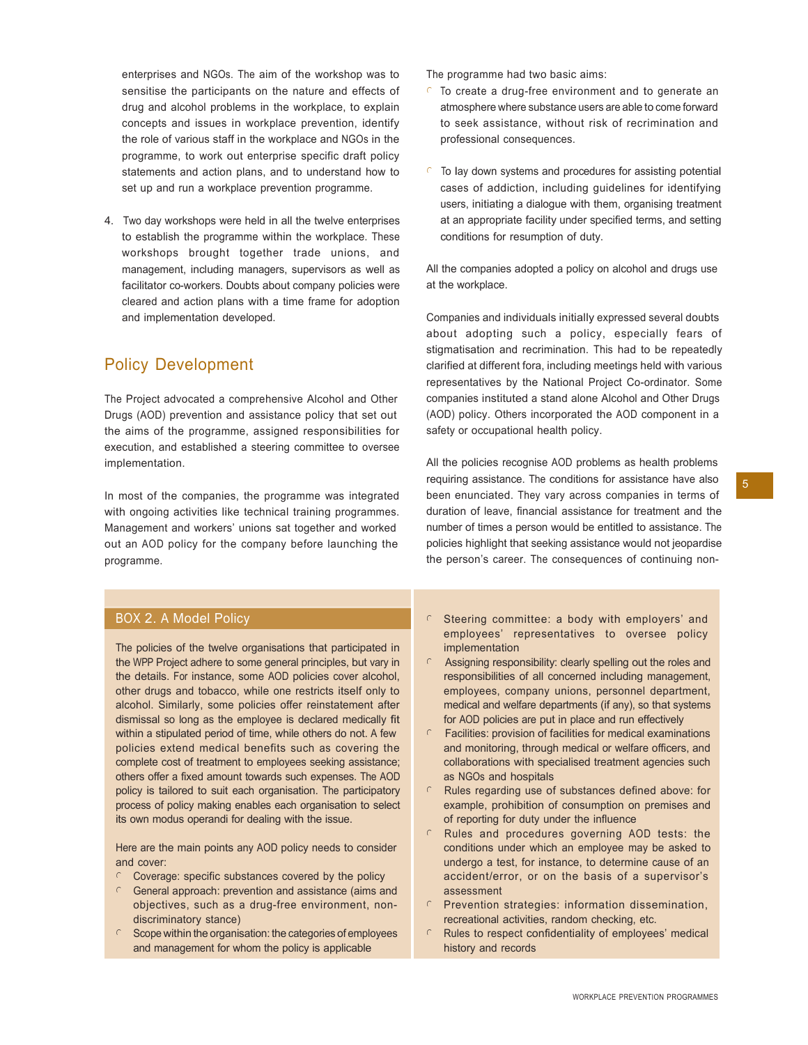enterprises and NGOs. The aim of the workshop was to sensitise the participants on the nature and effects of drug and alcohol problems in the workplace, to explain concepts and issues in workplace prevention, identify the role of various staff in the workplace and NGOs in the programme, to work out enterprise specific draft policy statements and action plans, and to understand how to set up and run a workplace prevention programme.

4. Two day workshops were held in all the twelve enterprises to establish the programme within the workplace. These workshops brought together trade unions, and management, including managers, supervisors as well as facilitator co-workers. Doubts about company policies were cleared and action plans with a time frame for adoption and implementation developed.

# Policy Development

The Project advocated a comprehensive Alcohol and Other Drugs (AOD) prevention and assistance policy that set out the aims of the programme, assigned responsibilities for execution, and established a steering committee to oversee implementation.

In most of the companies, the programme was integrated with ongoing activities like technical training programmes. Management and workers' unions sat together and worked out an AOD policy for the company before launching the programme.

The programme had two basic aims:

- To create a drug-free environment and to generate an atmosphere where substance users are able to come forward to seek assistance, without risk of recrimination and professional consequences.
- To lay down systems and procedures for assisting potential cases of addiction, including guidelines for identifying users, initiating a dialogue with them, organising treatment at an appropriate facility under specified terms, and setting conditions for resumption of duty.

All the companies adopted a policy on alcohol and drugs use at the workplace.

Companies and individuals initially expressed several doubts about adopting such a policy, especially fears of stigmatisation and recrimination. This had to be repeatedly clarified at different fora, including meetings held with various representatives by the National Project Co-ordinator. Some companies instituted a stand alone Alcohol and Other Drugs (AOD) policy. Others incorporated the AOD component in a safety or occupational health policy.

All the policies recognise AOD problems as health problems requiring assistance. The conditions for assistance have also  $\frac{1}{5}$ been enunciated. They vary across companies in terms of duration of leave, financial assistance for treatment and the number of times a person would be entitled to assistance. The policies highlight that seeking assistance would not jeopardise the person's career. The consequences of continuing non-

## BOX 2. A Model Policy

The policies of the twelve organisations that participated in the WPP Project adhere to some general principles, but vary in the details. For instance, some AOD policies cover alcohol, other drugs and tobacco, while one restricts itself only to alcohol. Similarly, some policies offer reinstatement after dismissal so long as the employee is declared medically fit within a stipulated period of time, while others do not. A few policies extend medical benefits such as covering the complete cost of treatment to employees seeking assistance; others offer a fixed amount towards such expenses. The AOD policy is tailored to suit each organisation. The participatory process of policy making enables each organisation to select its own modus operandi for dealing with the issue.

Here are the main points any AOD policy needs to consider and cover:

- $\circ$  Coverage: specific substances covered by the policy
- General approach: prevention and assistance (aims and objectives, such as a drug-free environment, nondiscriminatory stance)
- $\circ$  Scope within the organisation: the categories of employees and management for whom the policy is applicable
- Steering committee: a body with employers' and employees' representatives to oversee policy implementation
- Assigning responsibility: clearly spelling out the roles and responsibilities of all concerned including management, employees, company unions, personnel department, medical and welfare departments (if any), so that systems for AOD policies are put in place and run effectively
- $\epsilon$  Facilities: provision of facilities for medical examinations and monitoring, through medical or welfare officers, and collaborations with specialised treatment agencies such as NGOs and hospitals
- $\epsilon$  Rules regarding use of substances defined above: for example, prohibition of consumption on premises and of reporting for duty under the influence
- $\cap$  Rules and procedures governing AOD tests: the conditions under which an employee may be asked to undergo a test, for instance, to determine cause of an accident/error, or on the basis of a supervisor's assessment
- $\Gamma$  Prevention strategies: information dissemination, recreational activities, random checking, etc.
- Rules to respect confidentiality of employees' medical history and records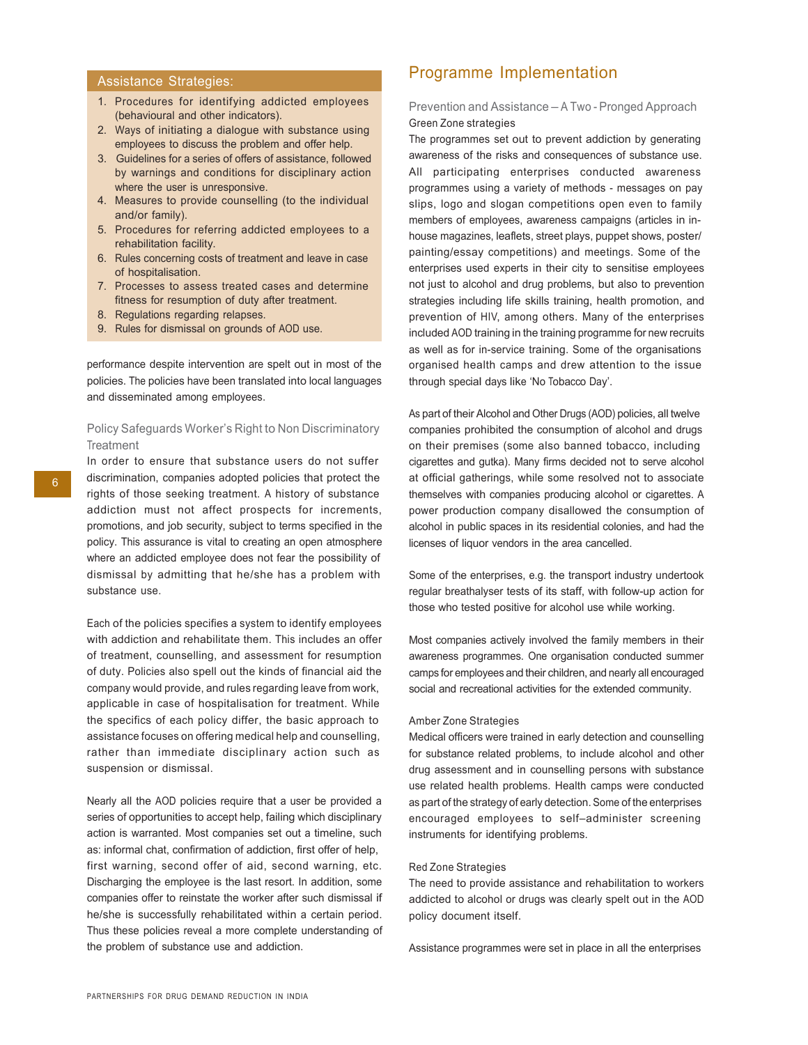## Assistance Strategies:

- 1. Procedures for identifying addicted employees (behavioural and other indicators).
- 2. Ways of initiating a dialogue with substance using employees to discuss the problem and offer help.
- 3. Guidelines for a series of offers of assistance, followed by warnings and conditions for disciplinary action where the user is unresponsive.
- 4. Measures to provide counselling (to the individual and/or family).
- 5. Procedures for referring addicted employees to a rehabilitation facility.
- 6. Rules concerning costs of treatment and leave in case of hospitalisation.
- 7. Processes to assess treated cases and determine fitness for resumption of duty after treatment.
- 8. Regulations regarding relapses.
- 9. Rules for dismissal on grounds of AOD use.

performance despite intervention are spelt out in most of the policies. The policies have been translated into local languages and disseminated among employees.

#### Policy Safeguards Worker's Right to Non Discriminatory **Treatment**

In order to ensure that substance users do not suffer 6 discrimination, companies adopted policies that protect the rights of those seeking treatment. A history of substance addiction must not affect prospects for increments, promotions, and job security, subject to terms specified in the policy. This assurance is vital to creating an open atmosphere where an addicted employee does not fear the possibility of dismissal by admitting that he/she has a problem with substance use.

> Each of the policies specifies a system to identify employees with addiction and rehabilitate them. This includes an offer of treatment, counselling, and assessment for resumption of duty. Policies also spell out the kinds of financial aid the company would provide, and rules regarding leave from work, applicable in case of hospitalisation for treatment. While the specifics of each policy differ, the basic approach to assistance focuses on offering medical help and counselling, rather than immediate disciplinary action such as suspension or dismissal.

> Nearly all the AOD policies require that a user be provided a series of opportunities to accept help, failing which disciplinary action is warranted. Most companies set out a timeline, such as: informal chat, confirmation of addiction, first offer of help, first warning, second offer of aid, second warning, etc. Discharging the employee is the last resort. In addition, some companies offer to reinstate the worker after such dismissal if he/she is successfully rehabilitated within a certain period. Thus these policies reveal a more complete understanding of the problem of substance use and addiction.

## Programme Implementation

#### Prevention and Assistance – A Two - Pronged Approach Green Zone strategies

The programmes set out to prevent addiction by generating awareness of the risks and consequences of substance use. All participating enterprises conducted awareness programmes using a variety of methods - messages on pay slips, logo and slogan competitions open even to family members of employees, awareness campaigns (articles in inhouse magazines, leaflets, street plays, puppet shows, poster/ painting/essay competitions) and meetings. Some of the enterprises used experts in their city to sensitise employees not just to alcohol and drug problems, but also to prevention strategies including life skills training, health promotion, and prevention of HIV, among others. Many of the enterprises included AOD training in the training programme for new recruits as well as for in-service training. Some of the organisations organised health camps and drew attention to the issue through special days like 'No Tobacco Day'.

As part of their Alcohol and Other Drugs (AOD) policies, all twelve companies prohibited the consumption of alcohol and drugs on their premises (some also banned tobacco, including cigarettes and gutka). Many firms decided not to serve alcohol at official gatherings, while some resolved not to associate themselves with companies producing alcohol or cigarettes. A power production company disallowed the consumption of alcohol in public spaces in its residential colonies, and had the licenses of liquor vendors in the area cancelled.

Some of the enterprises, e.g. the transport industry undertook regular breathalyser tests of its staff, with follow-up action for those who tested positive for alcohol use while working.

Most companies actively involved the family members in their awareness programmes. One organisation conducted summer camps for employees and their children, and nearly all encouraged social and recreational activities for the extended community.

#### Amber Zone Strategies

Medical officers were trained in early detection and counselling for substance related problems, to include alcohol and other drug assessment and in counselling persons with substance use related health problems. Health camps were conducted as part of the strategy of early detection. Some of the enterprises encouraged employees to self–administer screening instruments for identifying problems.

#### Red Zone Strategies

The need to provide assistance and rehabilitation to workers addicted to alcohol or drugs was clearly spelt out in the AOD policy document itself.

Assistance programmes were set in place in all the enterprises